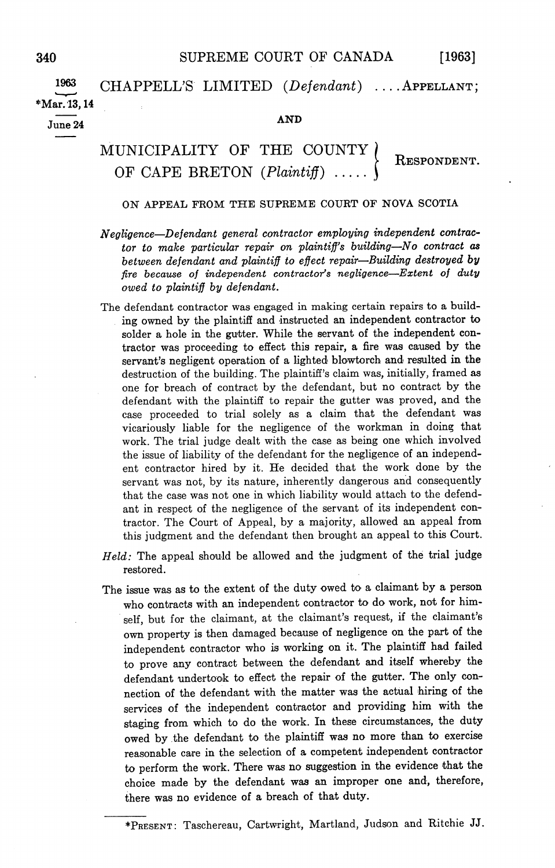[1963]

1963  $CHAPPELL'S$  LIMITED  $(Defendant)$  ... APPELLANT;  $*$ Mar. 13.14  $\frac{\text{Mar. 13, 14}}{\text{June } 24}$  AND

## MUNICIPALITY OF THE COUNTY OF CAPE BRETON (Plaintiff) RESPONDENT

## ON APPEAL FROM THE SUPREME COURT OF NOVA SCOTIA

- NegligenceDefendant general contractor employing independent contrac tor to make particular repair on plaintiff's building-No contract as between defendant and plaintiff to effect repair-Building destroyed by fire because of independent contractor's negligence-Extent of duty owed to plaintiff by defendant
- The defendant contractor was engaged in making certain repairs to a building owned by the plaintiff and instructed an independent contractor to solder a hole in the gutter. While the servant of the independent contractor was proceeding to effect this repair, a fire was caused by the servant's negligent operation of a lighted blowtorch and resulted in the destruction of the building. The plaintiff's claim was, initially, framed as one for breach of contract by the defendant, but no contract by the defendant with the plaintiff to repair the gutter was proved, and the case proceeded to trial solely as claim that the defendant was vicariously liable for the negligence of the workman in doing that work The trial judge dealt with the case as being one which involved the issue of liability of the defendant for the negligence of an independ ent contractor hired by it He decided that the work done by the servant was not, by its nature, inherently dangerous and consequently that the case was not one in which liability would attach to the defend ant in respect of the negligence of the servant of its independent con tractor. The Court of Appeal, by a majority, allowed an appeal from this judgment and the defendant then brought an appeal to this Court
- Held: The appeal should be allowed and the judgment of the trial judge restored
- The issue was as to the extent of the duty owed to a claimant by a person who contracts with an independent contractor to do work, not for himself, but for the claimant, at the claimant's request, if the claimant's own property is then damaged because of negligence on the part of the independent contractor who is working on it The plaintiff had failed to prove any contract between the defendant and itself whereby the defendant undertook to effect the repair of the gutter. The only connection of the defendant with the matter was the actual hiring of the services of the independent contractor and providing him with the staging from which to do the work. In these circumstances, the duty owed by .the defendant to the plaintiff was no more than to exercise reasonable care in the selection of a competent independent contractor to perform the work There was no suggestion in the evidence that the choice made by the defendant was an improper one and, therefore, there was no evidence of a breach of that duty.

<sup>\*</sup>PRESENT: Taschereau, Cartwright, Martland, Judson and Ritchie JJ.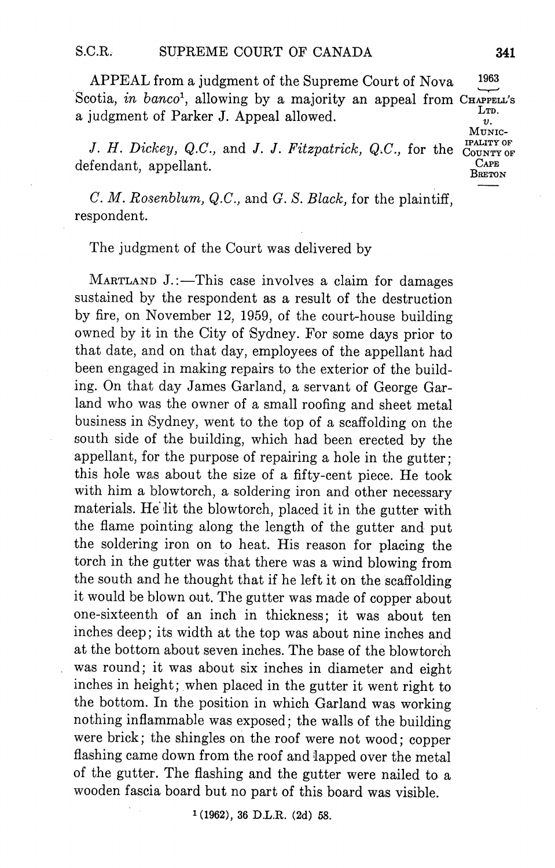APPEAL from a judgment of the Supreme Court of Nova 1963 Scotia, in banco<sup>1</sup>, allowing by a majority an appeal from  $C_{\text{HAPELL}}$ 's a judgment of Parker J. Appeal allowed.  $\begin{bmatrix} L_{T1} & L_{T2} \\ v \end{bmatrix}$ 

J. H. Dickey, Q.C., and J. J. Fitzpatrick, Q.C., for the COUNTY OF  $\alpha$  defendant, appellant.

 $C. M. Rosenblum, Q.C., and G. S. Black, for the plaintiff.$ respondent

The judgment of the Court was delivered by

MARTLAND J.:-This case involves a claim for damages sustained by the respondent as a result of the destruction by fire, on November 12, 1959, of the court-house building owned by it in the City of Sydney. For some days prior to that date, and on that day, employees of the appellant had been engaged in making repairs to the exterior of the build ing. On that day James Garland, a servant of George Garland who was the owner of a small roofing and sheet metal business in Sydney, went to the top of a scaffolding on the south side of the building, which had been erected by the appellant, for the purpose of repairing a hole in the gutter; this hole was about the size of a fifty-cent piece. He took with him a blowtorch, a soldering iron and other necessary materials. He lit the blowtorch, placed it in the gutter with the flame pointing along the length of the gutter and put the soldering iron on to heat. His reason for placing the torch in the gutter was that there was a wind blowing from the south and he thought that if he left it on the scaffolding it would be blown out. The gutter was made of copper about one-sixteenth of an inch in thickness; it was about ten inches deep its width at the top was about nine inches and at the bottom about seven inches The base of the blowtorch was round; it was about six inches in diameter and eight inches in height; when placed in the gutter it went right to the bottom. In the position in which Garland was working nothing inflammable was exposed; the walls of the building were brick; the shingles on the roof were not wood: copper flashing came down from the roof and lapped over the metal of the gutter. The flashing and the gutter were nailed to a wooden fascia board but no part of this board was visible

 $1(1962)$ , 36 D.L.R.  $(2d)$  58.

MUNIc IPALITY OF

BRETON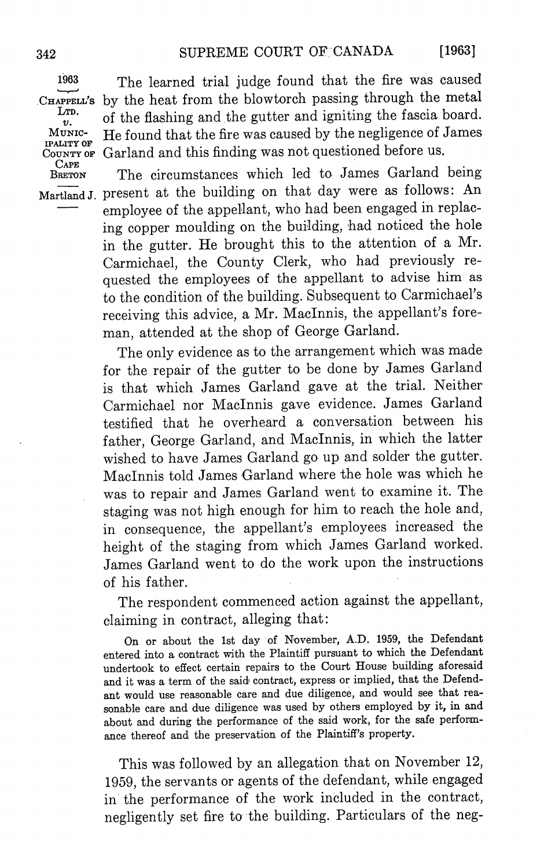MUNIC-IPALITY OF CAPE

<sup>1963</sup> The learned trial judge found that the fire was caused CHAPPELL's by the heat from the blowtorch passing through the metal<br>LTD.  $J_{v}^{\text{TD}}$  of the flashing and the gutter and igniting the fascia board. He found that the fire was caused by the negligence of James COUNTY OF Garland and this finding was not questioned before us.

BRETON The circumstances which led to James Garland being Martland J. present at the building on that day were as follows: An employee of the appellant, who had been engaged in replacing copper moulding on the building had noticed the hole in the gutter. He brought this to the attention of a Mr. Carmichael, the County Clerk, who had previously requested the employees of the appellant to advise him as to the condition of the building. Subsequent to Carmichael's receiving this advice, a Mr. MacInnis, the appellant's foreman, attended at the shop of George Garland.

> The only evidence as to the arrangement which was made for the repair of the gutter to be done by James Garland is that which James Garland gave at the trial Neither Carmichael nor Maclnnis gave evidence James Garland testified that he overheard a conversation between his father, George Garland, and MacInnis, in which the latter wished to have James Garland go up and solder the gutter Maclnnis told James Garland where the hole was which he was to repair and James Garland went to examine it The staging was not high enough for him to reach the hole and in consequence, the appellant's employees increased the height of the staging from which James Garland worked James Garland went to do the work upon the instructions of his father

> The respondent commenced action against the appellant claiming in contract, alleging that:

> On or about the 1st day of November, A.D. 1959, the Defendant entered into a contract with the Plaintiff pursuant to which the Defendant undertook to effect certain repairs to the Court House building aforesaid and it was a term of the said contract, express or implied, that the Defendant would use reasonable care and due diligence, and would see that reasonable care and due diligence was used by others employed by it, in and about and during the performance of the said work, for the safe performance thereof and the preservation of the Plaintiff's property.

> This was followed by an allegation that on November 12 1959, the servants or agents of the defendant, while engaged in the performance of the work included in the contract negligently set fire to the building. Particulars of the neg-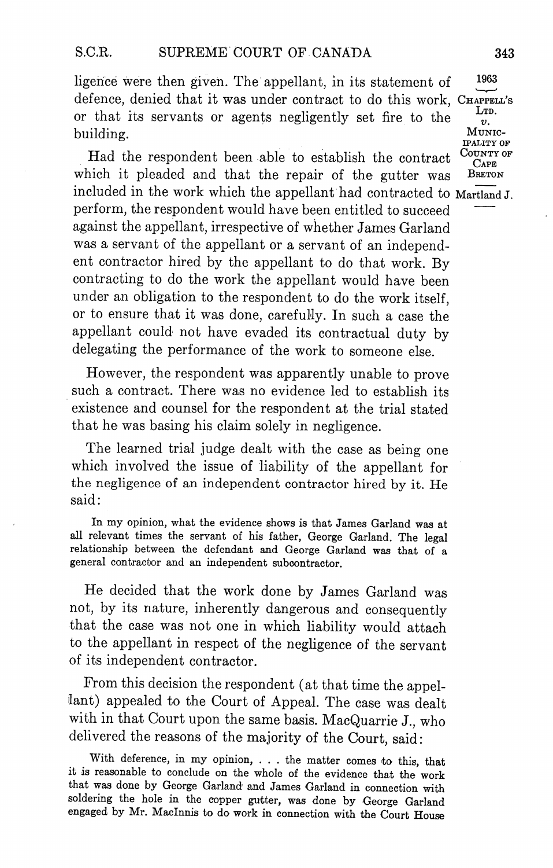ligence were then given. The appellant, in its statement of defence, denied that it was under contract to do this work, CHAPPELL'S or that its servants or agents negligently set fire to the building

Had the respondent been able to establish the contract  $\frac{C_{\text{OUTTY OF}}}{C_{\text{APE}}}$ which it pleaded and that the repair of the gutter was BRETON included in the work which the appellant had contracted to MartlandJ. perform, the respondent would have been entitled to succeed against the appellant, irrespective of whether James Garland was a servant of the appellant or a servant of an independent contractor hired by the appellant to do that work. By contracting to do the work the appellant would have been under an obligation to the respondent to do the work itself or to ensure that it was done, carefully. In such a case the appellant could not have evaded its contractual duty by delegating the performance of the work to someone else

However, the respondent was apparently unable to prove such a contract. There was no evidence led to establish its existence and counsel for the respondent at the trial stated that he was basing his claim solely in negligence

The learned trial judge dealt with the case as being one which involved the issue of liability of the appellant for the negligence of an independent contractor hired by it. He said:

In my opinion, what the evidence shows is that James Garland was at all relevant times the servant of his father, George Garland. The legal relationship between the defendant and George Garland was that of general contractor and an independent subcontractor

He decided that the work done by James Garland was not, by its nature, inherently dangerous and consequently that the case was not one in which liability would attach to the appellant in respect of the negligence of the servant of its independent contractor

From this decision the respondent (at that time the appellant) appealed to the Court of Appeal. The case was dealt with in that Court upon the same basis. MacQuarrie J., who delivered the reasons of the majority of the Court, said:

With deference, in my opinion, . . . the matter comes to this, that it is reasonable to conclude on the whole of the evidence that the work that was done by George Garland and James Garland in connection with soldering the hole in the copper gutter, was done by George Garland engaged by Mr. MacInnis to do work in connection with the Court House

LTD.  $v.$ MUNIC-**IPALITY OF** 

1963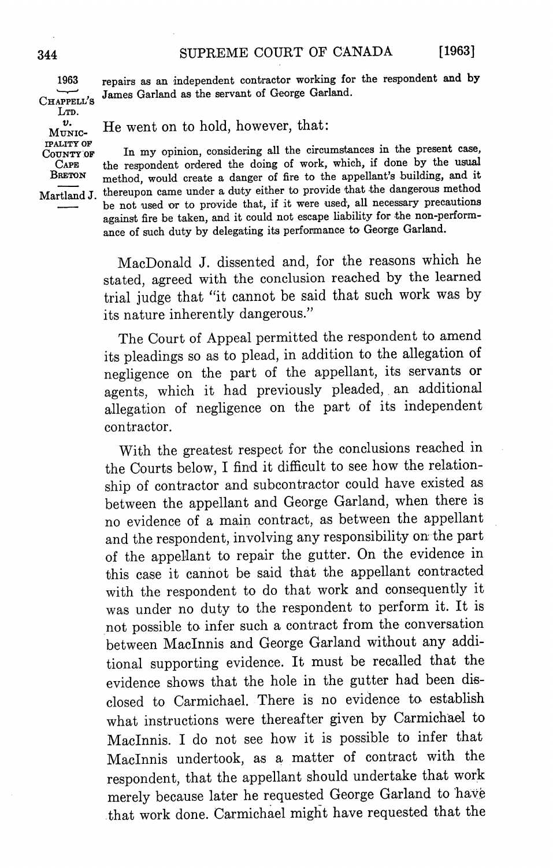LTD. tPALITY OF

<sup>1963</sup> repairs as an independent contractor working for the respondent and by CHAPPELL'S James Garland as the servant of George Garland.

 $v.$  MUNIC- He went on to hold, however, that:

 $\overrightarrow{C_{\text{UUNTY}}}$  or In my opinion, considering all the circumstances in the present case, CAPE the respondent ordered the doing of work, which, if done by the usual<br>BRETON mothod would create a danger of fire to the appellant's building, and it method, would create a danger of fire to the appellant's building, and it Martland J. thereupon came under a duty either to provide that the dangerous method be not used or to provide that, if it were used, all necessary precautions against fire be taken, and it could not escape liability for the non-performance of such duty by delegating its performance to George Garland.

> MacDonald J. dissented and, for the reasons which he stated, agreed with the conclusion reached by the learned trial judge that "it cannot be said that such work was by its nature inherently dangerous."

> The Court of Appeal permitted the respondent to amend its pleadings so as to plead, in addition to the allegation of negligence on the part of the appellant, its servants or agents, which it had previously pleaded, an additional allegation of negligence on the part of its independent contractor

> With the greatest respect for the conclusions reached in the Courts below, I find it difficult to see how the relationship of contractor and subcontractor could have existed as between the appellant and George Garland, when there is no evidence of a main contract, as between the appellant and the respondent, involving any responsibility on the part of the appellant to repair the gutter On the evidence in this case it cannot be said that the appellant contracted with the respondent to do that work and consequently it was under no duty to the respondent to perform it. It is not possible to infer such a contract from the conversation between Maclnnis and George Garland without any addi tional supporting evidence It must be recalled that the evidence shows that the hole in the gutter had been dis closed to Carmichael There is no evidence to establish what instructions were thereafter given by Carmichael to MacInnis. I do not see how it is possible to infer that MacInnis undertook, as a matter of contract with the respondent, that the appellant should undertake that work merely because later he requested George Garland to hav that work done Carmichael might have requested that the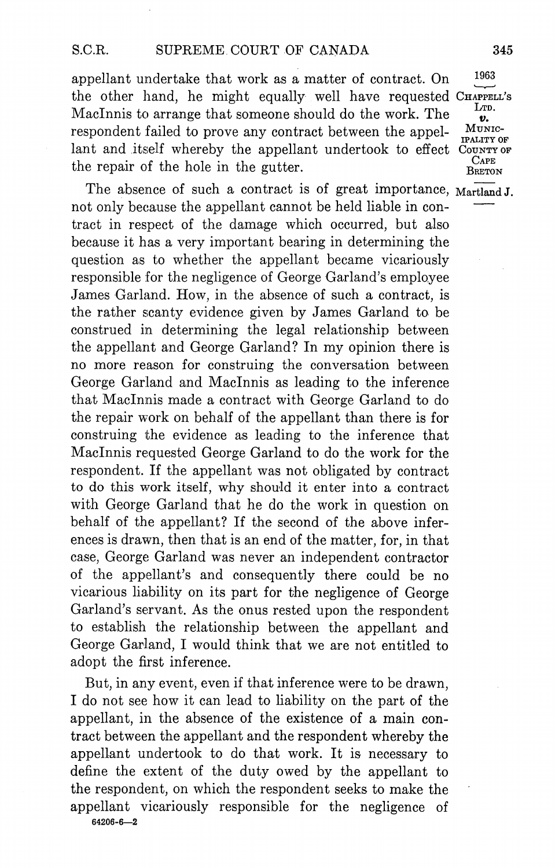appellant undertake that work as a matter of contract. On the other hand, he might equally well have requested CHAPPELL's MacInnis to arrange that someone should do the work. The respondent failed to prove any contract between the appellant and itself whereby the appellant undertook to effect COUNTY OF the repair of the hole in the gutter.  $\frac{C_{APE}}{B_{RETON}}$ 

The absence of such a contract is of great importance,  $Martland J$ . not only because the appellant cannot be held liable in contract in respect of the damage which occurred, but also because it has very important bearing in determining the question as to whether the appellant became vicariously responsible for the negligence of George Garland's employee James Garland. How, in the absence of such a contract, is the rather scanty evidence given by James Garland to be construed in determining the legal relationship between the appellant and George Garland? In my opinion there is no more reason for construing the conversation between George Garland and MacInnis as leading to the inference that MacInnis made a contract with George Garland to do the repair work on behalf of the appellant than there is for construing the evidence as leading to the inference that Maclnnis requested George Garland to do the work for the respondent. If the appellant was not obligated by contract to do this work itself, why should it enter into a contract with George Garland that he do the work in question on behalf of the appellant? If the second of the above inferences is drawn, then that is an end of the matter, for, in that case, George Garland was never an independent contractor of the appellant's and consequently there could be no vicarious liability on its part for the negligence of George Garland's servant. As the onus rested upon the respondent to establish the relationship between the appellant and George Garland, I would think that we are not entitled to adopt the first inference

But, in any event, even if that inference were to be drawn, I do not see how it can lead to liability on the part of the appellant, in the absence of the existence of a main contract between the appellant and the respondent whereby the appellant undertook to do that work It is necessary to define the extent of the duty owed by the appellant to the respondent, on which the respondent seeks to make the appellant vicariously responsible for the negligence of 64206-6-2

1963

v. MUNIC-